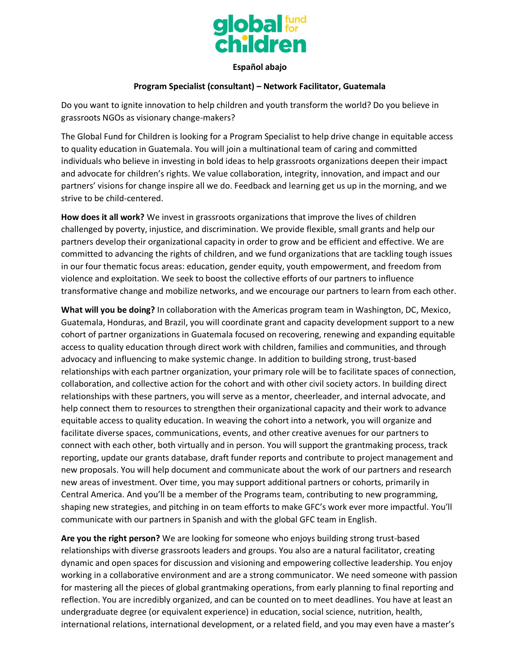

## **Español abajo**

## **Program Specialist (consultant) – Network Facilitator, Guatemala**

Do you want to ignite innovation to help children and youth transform the world? Do you believe in grassroots NGOs as visionary change-makers?

The Global Fund for Children is looking for a Program Specialist to help drive change in equitable access to quality education in Guatemala. You will join a multinational team of caring and committed individuals who believe in investing in bold ideas to help grassroots organizations deepen their impact and advocate for children's rights. We value collaboration, integrity, innovation, and impact and our partners' visions for change inspire all we do. Feedback and learning get us up in the morning, and we strive to be child-centered.

**How does it all work?** We invest in grassroots organizations that improve the lives of children challenged by poverty, injustice, and discrimination. We provide flexible, small grants and help our partners develop their organizational capacity in order to grow and be efficient and effective. We are committed to advancing the rights of children, and we fund organizations that are tackling tough issues in our four thematic focus areas: education, gender equity, youth empowerment, and freedom from violence and exploitation. We seek to boost the collective efforts of our partners to influence transformative change and mobilize networks, and we encourage our partners to learn from each other.

**What will you be doing?** In collaboration with the Americas program team in Washington, DC, Mexico, Guatemala, Honduras, and Brazil, you will coordinate grant and capacity development support to a new cohort of partner organizations in Guatemala focused on recovering, renewing and expanding equitable access to quality education through direct work with children, families and communities, and through advocacy and influencing to make systemic change. In addition to building strong, trust-based relationships with each partner organization, your primary role will be to facilitate spaces of connection, collaboration, and collective action for the cohort and with other civil society actors. In building direct relationships with these partners, you will serve as a mentor, cheerleader, and internal advocate, and help connect them to resources to strengthen their organizational capacity and their work to advance equitable access to quality education. In weaving the cohort into a network, you will organize and facilitate diverse spaces, communications, events, and other creative avenues for our partners to connect with each other, both virtually and in person. You will support the grantmaking process, track reporting, update our grants database, draft funder reports and contribute to project management and new proposals. You will help document and communicate about the work of our partners and research new areas of investment. Over time, you may support additional partners or cohorts, primarily in Central America. And you'll be a member of the Programs team, contributing to new programming, shaping new strategies, and pitching in on team efforts to make GFC's work ever more impactful. You'll communicate with our partners in Spanish and with the global GFC team in English.

**Are you the right person?** We are looking for someone who enjoys building strong trust-based relationships with diverse grassroots leaders and groups. You also are a natural facilitator, creating dynamic and open spaces for discussion and visioning and empowering collective leadership. You enjoy working in a collaborative environment and are a strong communicator. We need someone with passion for mastering all the pieces of global grantmaking operations, from early planning to final reporting and reflection. You are incredibly organized, and can be counted on to meet deadlines. You have at least an undergraduate degree (or equivalent experience) in education, social science, nutrition, health, international relations, international development, or a related field, and you may even have a master's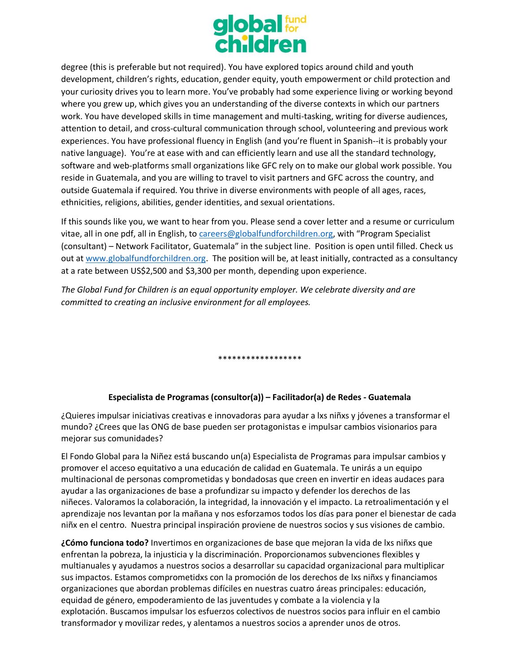

degree (this is preferable but not required). You have explored topics around child and youth development, children's rights, education, gender equity, youth empowerment or child protection and your curiosity drives you to learn more. You've probably had some experience living or working beyond where you grew up, which gives you an understanding of the diverse contexts in which our partners work. You have developed skills in time management and multi-tasking, writing for diverse audiences, attention to detail, and cross-cultural communication through school, volunteering and previous work experiences. You have professional fluency in English (and you're fluent in Spanish--it is probably your native language). You're at ease with and can efficiently learn and use all the standard technology, software and web-platforms small organizations like GFC rely on to make our global work possible. You reside in Guatemala, and you are willing to travel to visit partners and GFC across the country, and outside Guatemala if required. You thrive in diverse environments with people of all ages, races, ethnicities, religions, abilities, gender identities, and sexual orientations.

If this sounds like you, we want to hear from you. Please send a cover letter and a resume or curriculum vitae, all in one pdf, all in English, to [careers@globalfundforchildren.org,](mailto:careers@globalfundforchildren.org) with "Program Specialist (consultant) – Network Facilitator, Guatemala" in the subject line. Position is open until filled. Check us out at [www.globalfundforchildren.org.](http://www.globalfundforchildren.org/) The position will be, at least initially, contracted as a consultancy at a rate between US\$2,500 and \$3,300 per month, depending upon experience.

*The Global Fund for Children is an equal opportunity employer. We celebrate diversity and are committed to creating an inclusive environment for all employees.*

\*\*\*\*\*\*\*\*\*\*\*\*\*\*\*\*\*\*

## **Especialista de Programas (consultor(a)) – Facilitador(a) de Redes - Guatemala**

¿Quieres impulsar iniciativas creativas e innovadoras para ayudar a lxs niñxs y jóvenes a transformar el mundo? ¿Crees que las ONG de base pueden ser protagonistas e impulsar cambios visionarios para mejorar sus comunidades?

El Fondo Global para la Niñez está buscando un(a) Especialista de Programas para impulsar cambios y promover el acceso equitativo a una educación de calidad en Guatemala. Te unirás a un equipo multinacional de personas comprometidas y bondadosas que creen en invertir en ideas audaces para ayudar a las organizaciones de base a profundizar su impacto y defender los derechos de las niñeces. Valoramos la colaboración, la integridad, la innovación y el impacto. La retroalimentación y el aprendizaje nos levantan por la mañana y nos esforzamos todos los días para poner el bienestar de cada niñx en el centro. Nuestra principal inspiración proviene de nuestros socios y sus visiones de cambio.

**¿Cómo funciona todo?** Invertimos en organizaciones de base que mejoran la vida de lxs niñxs que enfrentan la pobreza, la injusticia y la discriminación. Proporcionamos subvenciones flexibles y multianuales y ayudamos a nuestros socios a desarrollar su capacidad organizacional para multiplicar sus impactos. Estamos comprometidxs con la promoción de los derechos de lxs niñxs y financiamos organizaciones que abordan problemas difíciles en nuestras cuatro áreas principales: educación, equidad de género, empoderamiento de las juventudes y combate a la violencia y la explotación. Buscamos impulsar los esfuerzos colectivos de nuestros socios para influir en el cambio transformador y movilizar redes, y alentamos a nuestros socios a aprender unos de otros.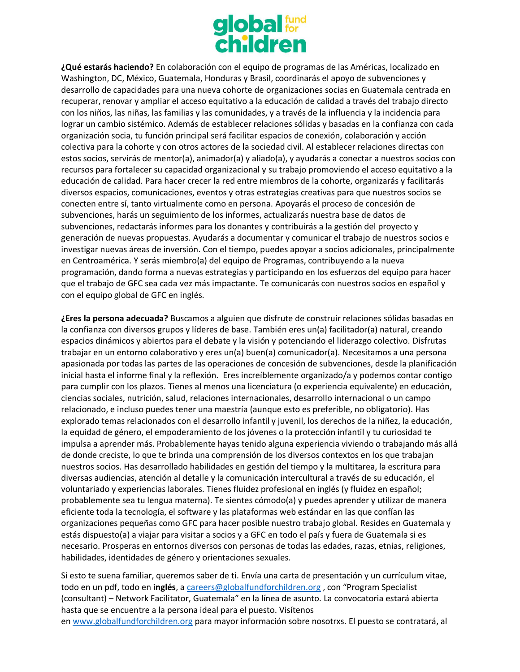

**¿Qué estarás haciendo?** En colaboración con el equipo de programas de las Américas, localizado en Washington, DC, México, Guatemala, Honduras y Brasil, coordinarás el apoyo de subvenciones y desarrollo de capacidades para una nueva cohorte de organizaciones socias en Guatemala centrada en recuperar, renovar y ampliar el acceso equitativo a la educación de calidad a través del trabajo directo con los niños, las niñas, las familias y las comunidades, y a través de la influencia y la incidencia para lograr un cambio sistémico. Además de establecer relaciones sólidas y basadas en la confianza con cada organización socia, tu función principal será facilitar espacios de conexión, colaboración y acción colectiva para la cohorte y con otros actores de la sociedad civil. Al establecer relaciones directas con estos socios, servirás de mentor(a), animador(a) y aliado(a), y ayudarás a conectar a nuestros socios con recursos para fortalecer su capacidad organizacional y su trabajo promoviendo el acceso equitativo a la educación de calidad. Para hacer crecer la red entre miembros de la cohorte, organizarás y facilitarás diversos espacios, comunicaciones, eventos y otras estrategias creativas para que nuestros socios se conecten entre sí, tanto virtualmente como en persona. Apoyarás el proceso de concesión de subvenciones, harás un seguimiento de los informes, actualizarás nuestra base de datos de subvenciones, redactarás informes para los donantes y contribuirás a la gestión del proyecto y generación de nuevas propuestas. Ayudarás a documentar y comunicar el trabajo de nuestros socios e investigar nuevas áreas de inversión. Con el tiempo, puedes apoyar a socios adicionales, principalmente en Centroamérica. Y serás miembro(a) del equipo de Programas, contribuyendo a la nueva programación, dando forma a nuevas estrategias y participando en los esfuerzos del equipo para hacer que el trabajo de GFC sea cada vez más impactante. Te comunicarás con nuestros socios en español y con el equipo global de GFC en inglés.

**¿Eres la persona adecuada?** Buscamos a alguien que disfrute de construir relaciones sólidas basadas en la confianza con diversos grupos y líderes de base. También eres un(a) facilitador(a) natural, creando espacios dinámicos y abiertos para el debate y la visión y potenciando el liderazgo colectivo. Disfrutas trabajar en un entorno colaborativo y eres un(a) buen(a) comunicador(a). Necesitamos a una persona apasionada por todas las partes de las operaciones de concesión de subvenciones, desde la planificación inicial hasta el informe final y la reflexión. Eres increíblemente organizado/a y podemos contar contigo para cumplir con los plazos. Tienes al menos una licenciatura (o experiencia equivalente) en educación, ciencias sociales, nutrición, salud, relaciones internacionales, desarrollo internacional o un campo relacionado, e incluso puedes tener una maestría (aunque esto es preferible, no obligatorio). Has explorado temas relacionados con el desarrollo infantil y juvenil, los derechos de la niñez, la educación, la equidad de género, el empoderamiento de los jóvenes o la protección infantil y tu curiosidad te impulsa a aprender más. Probablemente hayas tenido alguna experiencia viviendo o trabajando más allá de donde creciste, lo que te brinda una comprensión de los diversos contextos en los que trabajan nuestros socios. Has desarrollado habilidades en gestión del tiempo y la multitarea, la escritura para diversas audiencias, atención al detalle y la comunicación intercultural a través de su educación, el voluntariado y experiencias laborales. Tienes fluidez profesional en inglés (y fluidez en español; probablemente sea tu lengua materna). Te sientes cómodo(a) y puedes aprender y utilizar de manera eficiente toda la tecnología, el software y las plataformas web estándar en las que confían las organizaciones pequeñas como GFC para hacer posible nuestro trabajo global. Resides en Guatemala y estás dispuesto(a) a viajar para visitar a socios y a GFC en todo el país y fuera de Guatemala si es necesario. Prosperas en entornos diversos con personas de todas las edades, razas, etnias, religiones, habilidades, identidades de género y orientaciones sexuales.

Si esto te suena familiar, queremos saber de ti. Envía una carta de presentación y un currículum vitae, todo en un pdf, todo en **inglés**, a [careers@globalfundforchildren.org](mailto:careers@globalfundforchildren.org) , con "Program Specialist (consultant) – Network Facilitator, Guatemala" en la línea de asunto. La convocatoria estará abierta hasta que se encuentre a la persona ideal para el puesto. Visítenos en [www.globalfundforchildren.org](https://translate.google.com/translate?hl=en&prev=_t&sl=en&tl=es&u=http://www.globalfundforchildren.org) para mayor información sobre nosotrxs. El puesto se contratará, al